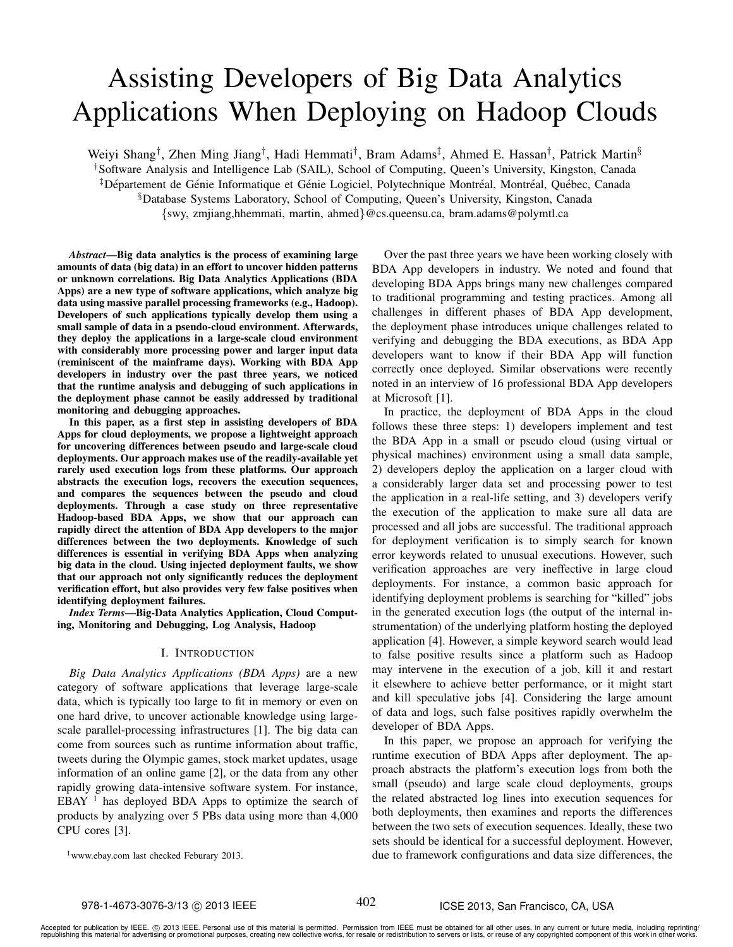# Assisting Developers of Big Data Analytics Applications When Deploying on Hadoop Clouds

Weiyi Shang<sup>†</sup>, Zhen Ming Jiang<sup>†</sup>, Hadi Hemmati<sup>†</sup>, Bram Adams<sup>‡</sup>, Ahmed E. Hassan<sup>†</sup>, Patrick Martin<sup>§</sup> †Software Analysis and Intelligence Lab (SAIL), School of Computing, Queen's University, Kingston, Canada <sup>‡</sup> Département de Génie Informatique et Génie Logiciel, Polytechnique Montréal, Montréal, Québec, Canada §Database Systems Laboratory, School of Computing, Queen's University, Kingston, Canada {swy, zmjiang,hhemmati, martin, ahmed}@cs.queensu.ca, bram.adams@polymtl.ca

*Abstract*—Big data analytics is the process of examining large amounts of data (big data) in an effort to uncover hidden patterns or unknown correlations. Big Data Analytics Applications (BDA Apps) are a new type of software applications, which analyze big data using massive parallel processing frameworks (e.g., Hadoop). Developers of such applications typically develop them using a small sample of data in a pseudo-cloud environment. Afterwards, they deploy the applications in a large-scale cloud environment with considerably more processing power and larger input data (reminiscent of the mainframe days). Working with BDA App developers in industry over the past three years, we noticed that the runtime analysis and debugging of such applications in the deployment phase cannot be easily addressed by traditional monitoring and debugging approaches.

In this paper, as a first step in assisting developers of BDA Apps for cloud deployments, we propose a lightweight approach for uncovering differences between pseudo and large-scale cloud deployments. Our approach makes use of the readily-available yet rarely used execution logs from these platforms. Our approach abstracts the execution logs, recovers the execution sequences, and compares the sequences between the pseudo and cloud deployments. Through a case study on three representative Hadoop-based BDA Apps, we show that our approach can rapidly direct the attention of BDA App developers to the major differences between the two deployments. Knowledge of such differences is essential in verifying BDA Apps when analyzing big data in the cloud. Using injected deployment faults, we show that our approach not only significantly reduces the deployment verification effort, but also provides very few false positives when identifying deployment failures.

*Index Terms*—Big-Data Analytics Application, Cloud Computing, Monitoring and Debugging, Log Analysis, Hadoop

#### I. INTRODUCTION

*Big Data Analytics Applications (BDA Apps)* are a new category of software applications that leverage large-scale data, which is typically too large to fit in memory or even on one hard drive, to uncover actionable knowledge using largescale parallel-processing infrastructures [1]. The big data can come from sources such as runtime information about traffic, tweets during the Olympic games, stock market updates, usage information of an online game [2], or the data from any other rapidly growing data-intensive software system. For instance, EBAY  $<sup>1</sup>$  has deployed BDA Apps to optimize the search of</sup> products by analyzing over 5 PBs data using more than 4,000 CPU cores [3].

Over the past three years we have been working closely with BDA App developers in industry. We noted and found that developing BDA Apps brings many new challenges compared to traditional programming and testing practices. Among all challenges in different phases of BDA App development, the deployment phase introduces unique challenges related to verifying and debugging the BDA executions, as BDA App developers want to know if their BDA App will function correctly once deployed. Similar observations were recently noted in an interview of 16 professional BDA App developers at Microsoft [1].

In practice, the deployment of BDA Apps in the cloud follows these three steps: 1) developers implement and test the BDA App in a small or pseudo cloud (using virtual or physical machines) environment using a small data sample, 2) developers deploy the application on a larger cloud with a considerably larger data set and processing power to test the application in a real-life setting, and 3) developers verify the execution of the application to make sure all data are processed and all jobs are successful. The traditional approach for deployment verification is to simply search for known error keywords related to unusual executions. However, such verification approaches are very ineffective in large cloud deployments. For instance, a common basic approach for identifying deployment problems is searching for "killed" jobs in the generated execution logs (the output of the internal instrumentation) of the underlying platform hosting the deployed application [4]. However, a simple keyword search would lead to false positive results since a platform such as Hadoop may intervene in the execution of a job, kill it and restart it elsewhere to achieve better performance, or it might start and kill speculative jobs [4]. Considering the large amount of data and logs, such false positives rapidly overwhelm the developer of BDA Apps.

In this paper, we propose an approach for verifying the runtime execution of BDA Apps after deployment. The approach abstracts the platform's execution logs from both the small (pseudo) and large scale cloud deployments, groups the related abstracted log lines into execution sequences for both deployments, then examines and reports the differences between the two sets of execution sequences. Ideally, these two sets should be identical for a successful deployment. However, due to framework configurations and data size differences, the

<sup>1</sup>www.ebay.com last checked Feburary 2013.

402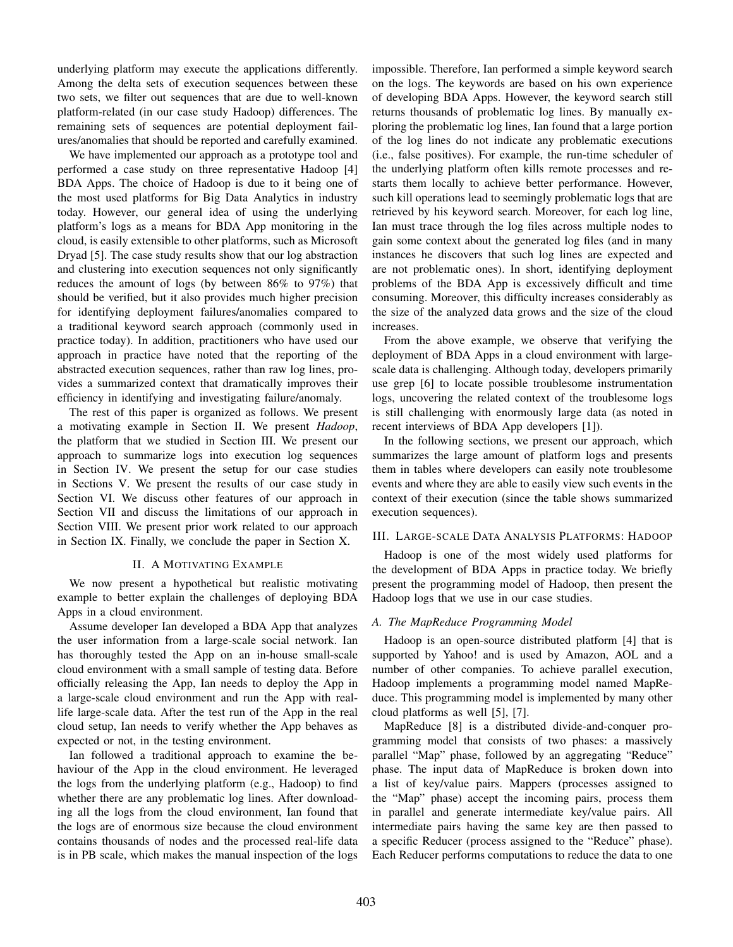underlying platform may execute the applications differently. Among the delta sets of execution sequences between these two sets, we filter out sequences that are due to well-known platform-related (in our case study Hadoop) differences. The remaining sets of sequences are potential deployment failures/anomalies that should be reported and carefully examined.

We have implemented our approach as a prototype tool and performed a case study on three representative Hadoop [4] BDA Apps. The choice of Hadoop is due to it being one of the most used platforms for Big Data Analytics in industry today. However, our general idea of using the underlying platform's logs as a means for BDA App monitoring in the cloud, is easily extensible to other platforms, such as Microsoft Dryad [5]. The case study results show that our log abstraction and clustering into execution sequences not only significantly reduces the amount of logs (by between 86% to 97%) that should be verified, but it also provides much higher precision for identifying deployment failures/anomalies compared to a traditional keyword search approach (commonly used in practice today). In addition, practitioners who have used our approach in practice have noted that the reporting of the abstracted execution sequences, rather than raw log lines, provides a summarized context that dramatically improves their efficiency in identifying and investigating failure/anomaly.

The rest of this paper is organized as follows. We present a motivating example in Section II. We present *Hadoop*, the platform that we studied in Section III. We present our approach to summarize logs into execution log sequences in Section IV. We present the setup for our case studies in Sections V. We present the results of our case study in Section VI. We discuss other features of our approach in Section VII and discuss the limitations of our approach in Section VIII. We present prior work related to our approach in Section IX. Finally, we conclude the paper in Section X.

### II. A MOTIVATING EXAMPLE

We now present a hypothetical but realistic motivating example to better explain the challenges of deploying BDA Apps in a cloud environment.

Assume developer Ian developed a BDA App that analyzes the user information from a large-scale social network. Ian has thoroughly tested the App on an in-house small-scale cloud environment with a small sample of testing data. Before officially releasing the App, Ian needs to deploy the App in a large-scale cloud environment and run the App with reallife large-scale data. After the test run of the App in the real cloud setup, Ian needs to verify whether the App behaves as expected or not, in the testing environment.

Ian followed a traditional approach to examine the behaviour of the App in the cloud environment. He leveraged the logs from the underlying platform (e.g., Hadoop) to find whether there are any problematic log lines. After downloading all the logs from the cloud environment, Ian found that the logs are of enormous size because the cloud environment contains thousands of nodes and the processed real-life data is in PB scale, which makes the manual inspection of the logs

impossible. Therefore, Ian performed a simple keyword search on the logs. The keywords are based on his own experience of developing BDA Apps. However, the keyword search still returns thousands of problematic log lines. By manually exploring the problematic log lines, Ian found that a large portion of the log lines do not indicate any problematic executions (i.e., false positives). For example, the run-time scheduler of the underlying platform often kills remote processes and restarts them locally to achieve better performance. However, such kill operations lead to seemingly problematic logs that are retrieved by his keyword search. Moreover, for each log line, Ian must trace through the log files across multiple nodes to gain some context about the generated log files (and in many instances he discovers that such log lines are expected and are not problematic ones). In short, identifying deployment problems of the BDA App is excessively difficult and time consuming. Moreover, this difficulty increases considerably as the size of the analyzed data grows and the size of the cloud increases.

From the above example, we observe that verifying the deployment of BDA Apps in a cloud environment with largescale data is challenging. Although today, developers primarily use grep [6] to locate possible troublesome instrumentation logs, uncovering the related context of the troublesome logs is still challenging with enormously large data (as noted in recent interviews of BDA App developers [1]).

In the following sections, we present our approach, which summarizes the large amount of platform logs and presents them in tables where developers can easily note troublesome events and where they are able to easily view such events in the context of their execution (since the table shows summarized execution sequences).

### III. LARGE-SCALE DATA ANALYSIS PLATFORMS: HADOOP

Hadoop is one of the most widely used platforms for the development of BDA Apps in practice today. We briefly present the programming model of Hadoop, then present the Hadoop logs that we use in our case studies.

### *A. The MapReduce Programming Model*

Hadoop is an open-source distributed platform [4] that is supported by Yahoo! and is used by Amazon, AOL and a number of other companies. To achieve parallel execution, Hadoop implements a programming model named MapReduce. This programming model is implemented by many other cloud platforms as well [5], [7].

MapReduce [8] is a distributed divide-and-conquer programming model that consists of two phases: a massively parallel "Map" phase, followed by an aggregating "Reduce" phase. The input data of MapReduce is broken down into a list of key/value pairs. Mappers (processes assigned to the "Map" phase) accept the incoming pairs, process them in parallel and generate intermediate key/value pairs. All intermediate pairs having the same key are then passed to a specific Reducer (process assigned to the "Reduce" phase). Each Reducer performs computations to reduce the data to one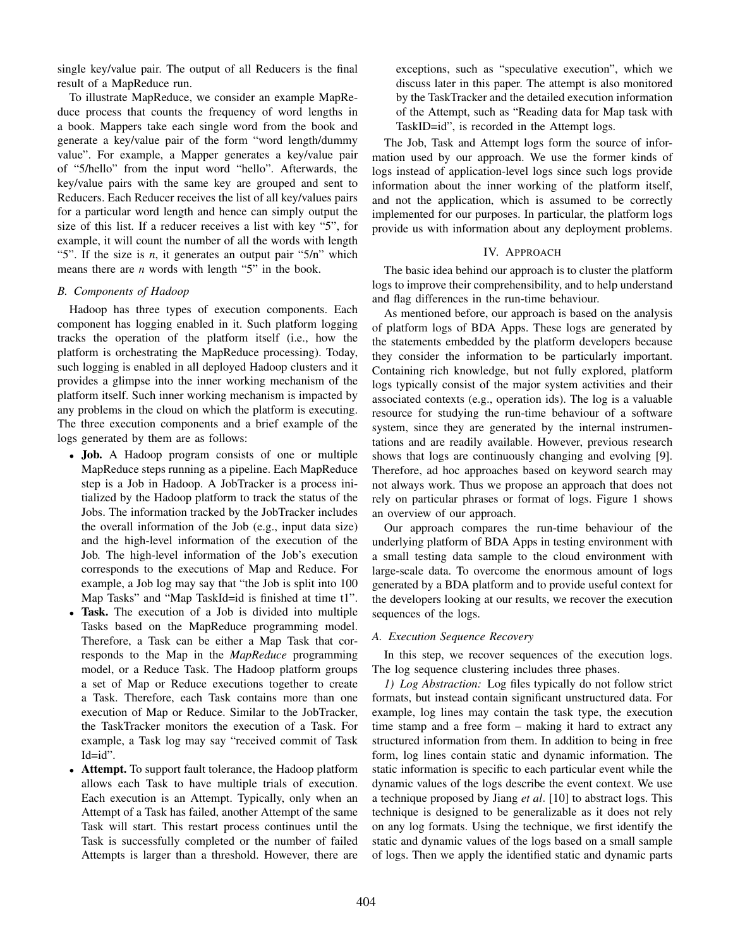single key/value pair. The output of all Reducers is the final result of a MapReduce run.

To illustrate MapReduce, we consider an example MapReduce process that counts the frequency of word lengths in a book. Mappers take each single word from the book and generate a key/value pair of the form "word length/dummy value". For example, a Mapper generates a key/value pair of "5/hello" from the input word "hello". Afterwards, the key/value pairs with the same key are grouped and sent to Reducers. Each Reducer receives the list of all key/values pairs for a particular word length and hence can simply output the size of this list. If a reducer receives a list with key "5", for example, it will count the number of all the words with length "5". If the size is *n*, it generates an output pair "5/n" which means there are *n* words with length "5" in the book.

## *B. Components of Hadoop*

Hadoop has three types of execution components. Each component has logging enabled in it. Such platform logging tracks the operation of the platform itself (i.e., how the platform is orchestrating the MapReduce processing). Today, such logging is enabled in all deployed Hadoop clusters and it provides a glimpse into the inner working mechanism of the platform itself. Such inner working mechanism is impacted by any problems in the cloud on which the platform is executing. The three execution components and a brief example of the logs generated by them are as follows:

- Job. A Hadoop program consists of one or multiple MapReduce steps running as a pipeline. Each MapReduce step is a Job in Hadoop. A JobTracker is a process initialized by the Hadoop platform to track the status of the Jobs. The information tracked by the JobTracker includes the overall information of the Job (e.g., input data size) and the high-level information of the execution of the Job. The high-level information of the Job's execution corresponds to the executions of Map and Reduce. For example, a Job log may say that "the Job is split into 100 Map Tasks" and "Map TaskId=id is finished at time t1".
- Task. The execution of a Job is divided into multiple Tasks based on the MapReduce programming model. Therefore, a Task can be either a Map Task that corresponds to the Map in the *MapReduce* programming model, or a Reduce Task. The Hadoop platform groups a set of Map or Reduce executions together to create a Task. Therefore, each Task contains more than one execution of Map or Reduce. Similar to the JobTracker, the TaskTracker monitors the execution of a Task. For example, a Task log may say "received commit of Task Id=id".
- Attempt. To support fault tolerance, the Hadoop platform allows each Task to have multiple trials of execution. Each execution is an Attempt. Typically, only when an Attempt of a Task has failed, another Attempt of the same Task will start. This restart process continues until the Task is successfully completed or the number of failed Attempts is larger than a threshold. However, there are

exceptions, such as "speculative execution", which we discuss later in this paper. The attempt is also monitored by the TaskTracker and the detailed execution information of the Attempt, such as "Reading data for Map task with TaskID=id", is recorded in the Attempt logs.

The Job, Task and Attempt logs form the source of information used by our approach. We use the former kinds of logs instead of application-level logs since such logs provide information about the inner working of the platform itself, and not the application, which is assumed to be correctly implemented for our purposes. In particular, the platform logs provide us with information about any deployment problems.

#### IV. APPROACH

The basic idea behind our approach is to cluster the platform logs to improve their comprehensibility, and to help understand and flag differences in the run-time behaviour.

As mentioned before, our approach is based on the analysis of platform logs of BDA Apps. These logs are generated by the statements embedded by the platform developers because they consider the information to be particularly important. Containing rich knowledge, but not fully explored, platform logs typically consist of the major system activities and their associated contexts (e.g., operation ids). The log is a valuable resource for studying the run-time behaviour of a software system, since they are generated by the internal instrumentations and are readily available. However, previous research shows that logs are continuously changing and evolving [9]. Therefore, ad hoc approaches based on keyword search may not always work. Thus we propose an approach that does not rely on particular phrases or format of logs. Figure 1 shows an overview of our approach.

Our approach compares the run-time behaviour of the underlying platform of BDA Apps in testing environment with a small testing data sample to the cloud environment with large-scale data. To overcome the enormous amount of logs generated by a BDA platform and to provide useful context for the developers looking at our results, we recover the execution sequences of the logs.

#### *A. Execution Sequence Recovery*

In this step, we recover sequences of the execution logs. The log sequence clustering includes three phases.

*1) Log Abstraction:* Log files typically do not follow strict formats, but instead contain significant unstructured data. For example, log lines may contain the task type, the execution time stamp and a free form – making it hard to extract any structured information from them. In addition to being in free form, log lines contain static and dynamic information. The static information is specific to each particular event while the dynamic values of the logs describe the event context. We use a technique proposed by Jiang *et al*. [10] to abstract logs. This technique is designed to be generalizable as it does not rely on any log formats. Using the technique, we first identify the static and dynamic values of the logs based on a small sample of logs. Then we apply the identified static and dynamic parts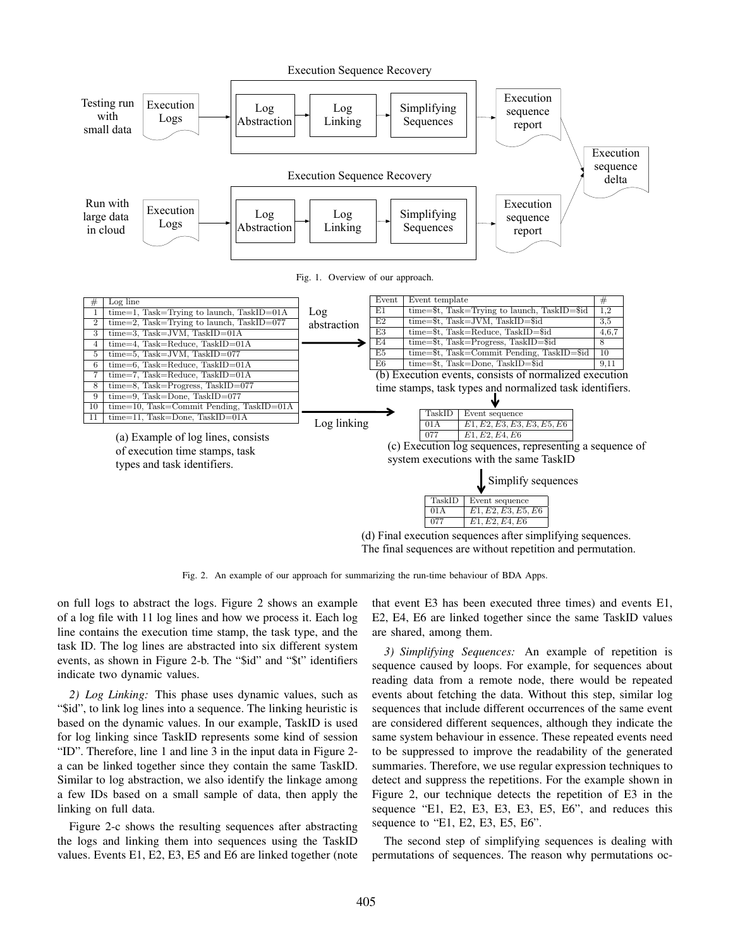

(d) Final execution sequences after simplifying sequences. The final sequences are without repetition and permutation. p-value of the t-test would be  $0.8137.$  $\mathbf{S}$ between "5, 2, 2" and "4, 3, 2" (the sequence distribution

le of our approach for summarizing the run-time behaviour of BDA Apps.  $\mathbf{r}$  is defined as the standard as the standard as the standard standard as the standard standard standard standard standard standard standard standard standard standard standard standard standard standard standard st Fig. 2. An example of our approach for summarizing the run-time behaviour of BDA Apps.

on full logs to abstract the logs. Figure 2 shows an example task ID. The log lines are abstracted into six different system  $\frac{3}{2}$  Simplifying Sequence of a log file with 11 log lines and how we process it. Each log line contains the execution time stamp, the task type, and the events, as shown in Figure 2-b. The "\$id" and "\$t" identifiers indicate two dynamic values.

"\$id", to link log lines into a sequence. The linking heuristic is *2) Log Linking:* This phase uses dynamic values, such as based on the dynamic values. In our example, TaskID is used for log linking since TaskID represents some kind of session "ID". Therefore, line 1 and line 3 in the input data in Figure 2 a can be linked together since they contain the same TaskID. Similar to log abstraction, we also identify the linkage among a few IDs based on a small sample of data, then apply the linking on full data.

Figure 2-c shows the resulting sequences after abstracting seque the logs and linking them into sequences using the TaskID values. Events E1, E2, E3, E5 and E6 are linked together (note

Eq. Eq. Eq. Eq. Eq. in the steel because the same starts and even<br>log Eq. Eq. Eq. Eq. are linked together since the same TaskID e task type, and the are shared, among them.  $\mu$  since the same task  $\nu$  values that event E3 has been executed three times) and events E1, E2, E4, E6 are linked together since the same TaskID values sequence distribution of "6, 5, 2, 2", the calculated p-value

 $p_{\text{em}}$  computing sequences computing sequences on  $p_{\text{em}}$  $\dddot{\mathbf{S}}$  and "\$t" identifiers sequence caused by loops. For example, for sequences about  $\frac{1}{\sqrt{2}}$ reading data from a re events about fetching the data. Without this step, similar log<br>amic values, such as events about fetching the data. Without this step, similar log  $\epsilon$  mixing neuristic is  $\epsilon$  sequences that include  $\alpha$ mple, TaskID is used are considered different sequences, although they indicate the some kind of session same system behaviour in essence. These repeated events need erates 10 log secure 10 log sequences, we want the SCV based calculate the SCV based of SCV based of SCV based of SCV based of SCV based of SCV based of SCV based of SCV based of SCV based of SCV based of SCV based of SCV on the number of the state of the supported by the first number of the first number of the first number of the first number of the first number of the first number of the first number of the state of the state of the state ain the same TaskID. summaries. Therefore, we use regular expression techniques to be 0.060, which is smaller than the baseline (0.111), and fy the linkage among detect and suppress the repetitions. For the example shown in data, then apply the Figure 2, our technique detects the repetition of E3 in the  $\frac{1}{2}$  could be  $\frac{1}{2}$  which  $\frac{1}{2}$ sequence "E1, E2, E3, E3, E3, E5, E6", and reduces this  $T_{\text{max}}$  sub-section introduces Hadoop, a widely used control  $\mathcal{A}$ e noue, mere would be repeated sequences that include different occurrences of the same event to be suppressed to improve the readability of the generated detect and suppress the repetitions. For the example shown in  $R_{\text{max}}$  phase. The input decrees input decrees in  $\mathbb{R}$ sequence to "E1, E2, E3, E5, E6". 3) Simplifying Sequences: An example of repetition is reading data from a remote node, there would be repeated same system behaviour in essence. These repeated events need summaries. Therefore, we use regular expression free  $\frac{1}{2}$ ,  $\frac{1}{2}$  and  $\frac{1}{2}$  and  $\frac{1}{2}$  and  $\frac{1}{2}$  and  $\frac{1}{2}$  and  $\frac{1}{2}$  and  $\frac{1}{2}$  and  $\frac{1}{2}$ sequence "E1, E2, E3, E3, E3, E5, E6", and reduces this on the number 9, 10 and 10 and 10 and 10  $\mu$  10 and 10  $\mu$  10 and 10  $\mu$ ies on a widely used cloud computing platform, and detect  $\frac{1}{2}$  the computing platform that  $\frac{1}{2}$ summaries. Therefore, we use regular expression techniques to  $\mathbf{m}$  present the present the programmer  $\mathbf{m}$ 

nked together (note permutations of sequences. The reason why permutations ocsigned to the "Map" phase) accept the incoming pairs, proin ying sequences is ucaning with The second step of simplifying sequences is dealing with permutations of sequences. The reason why permutations oc- $\mathcal{L}_{\mathbf{z}}$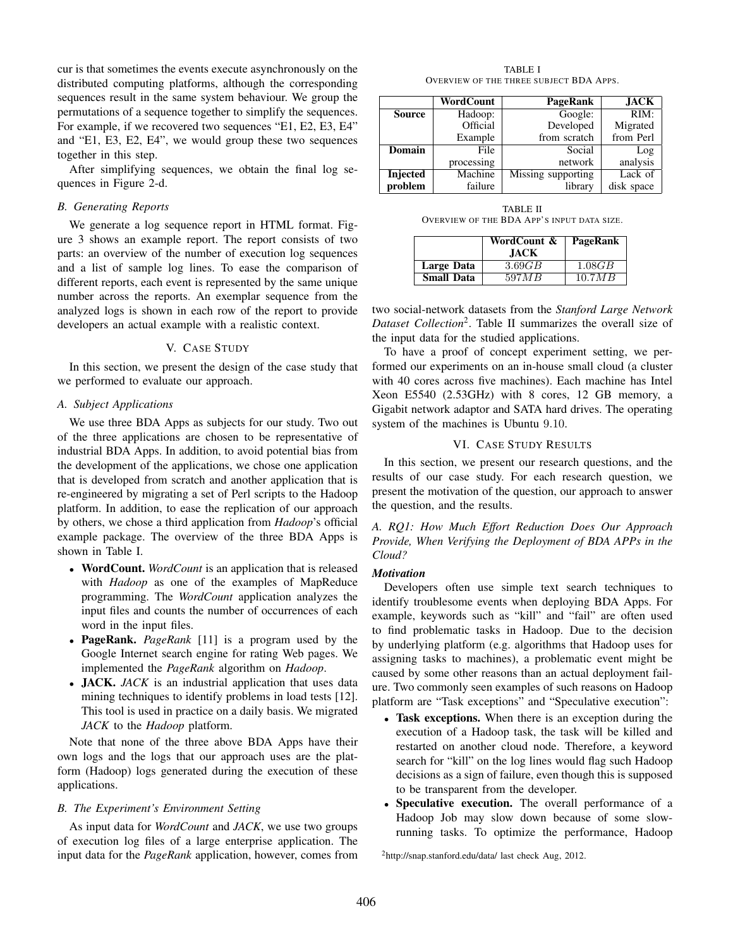cur is that sometimes the events execute asynchronously on the distributed computing platforms, although the corresponding sequences result in the same system behaviour. We group the permutations of a sequence together to simplify the sequences. For example, if we recovered two sequences "E1, E2, E3, E4" and "E1, E3, E2, E4", we would group these two sequences together in this step.

After simplifying sequences, we obtain the final log sequences in Figure 2-d.

#### *B. Generating Reports*

We generate a log sequence report in HTML format. Figure 3 shows an example report. The report consists of two parts: an overview of the number of execution log sequences and a list of sample log lines. To ease the comparison of different reports, each event is represented by the same unique number across the reports. An exemplar sequence from the analyzed logs is shown in each row of the report to provide developers an actual example with a realistic context.

## V. CASE STUDY

In this section, we present the design of the case study that we performed to evaluate our approach.

# *A. Subject Applications*

We use three BDA Apps as subjects for our study. Two out of the three applications are chosen to be representative of industrial BDA Apps. In addition, to avoid potential bias from the development of the applications, we chose one application that is developed from scratch and another application that is re-engineered by migrating a set of Perl scripts to the Hadoop platform. In addition, to ease the replication of our approach by others, we chose a third application from *Hadoop*'s official example package. The overview of the three BDA Apps is shown in Table I.

- WordCount. *WordCount* is an application that is released with *Hadoop* as one of the examples of MapReduce programming. The *WordCount* application analyzes the input files and counts the number of occurrences of each word in the input files.
- PageRank. *PageRank* [11] is a program used by the Google Internet search engine for rating Web pages. We implemented the *PageRank* algorithm on *Hadoop*.
- JACK. *JACK* is an industrial application that uses data mining techniques to identify problems in load tests [12]. This tool is used in practice on a daily basis. We migrated *JACK* to the *Hadoop* platform.

Note that none of the three above BDA Apps have their own logs and the logs that our approach uses are the platform (Hadoop) logs generated during the execution of these applications.

# *B. The Experiment's Environment Setting*

As input data for *WordCount* and *JACK*, we use two groups of execution log files of a large enterprise application. The input data for the *PageRank* application, however, comes from

TABLE I OVERVIEW OF THE THREE SUBJECT BDA APPS.

|               | WordCount  | PageRank           | <b>JACK</b>        |
|---------------|------------|--------------------|--------------------|
| <b>Source</b> | Hadoop:    | Google:            | $\overline{RIM}$ : |
|               | Official   | Developed          | Migrated           |
|               | Example    | from scratch       | from Perl          |
| Domain        | File       | Social             | Log                |
|               | processing | network            | analysis           |
| Injected      | Machine    | Missing supporting | Lack of            |
| problem       | failure    | library            | disk space         |

TABLE II OVERVIEW OF THE BDA APP'S INPUT DATA SIZE.

|                   | WordCount &<br><b>JACK</b> | PageRank |
|-------------------|----------------------------|----------|
| Large Data        | 3.69GB                     | 1.08GB   |
| <b>Small Data</b> | 597 M B                    | 10.7MB   |

two social-network datasets from the *Stanford Large Network Dataset Collection*<sup>2</sup> . Table II summarizes the overall size of the input data for the studied applications.

To have a proof of concept experiment setting, we performed our experiments on an in-house small cloud (a cluster with 40 cores across five machines). Each machine has Intel Xeon E5540 (2.53GHz) with 8 cores, 12 GB memory, a Gigabit network adaptor and SATA hard drives. The operating system of the machines is Ubuntu 9.10.

#### VI. CASE STUDY RESULTS

In this section, we present our research questions, and the results of our case study. For each research question, we present the motivation of the question, our approach to answer the question, and the results.

*A. RQ1: How Much Effort Reduction Does Our Approach Provide, When Verifying the Deployment of BDA APPs in the Cloud?*

#### *Motivation*

Developers often use simple text search techniques to identify troublesome events when deploying BDA Apps. For example, keywords such as "kill" and "fail" are often used to find problematic tasks in Hadoop. Due to the decision by underlying platform (e.g. algorithms that Hadoop uses for assigning tasks to machines), a problematic event might be caused by some other reasons than an actual deployment failure. Two commonly seen examples of such reasons on Hadoop platform are "Task exceptions" and "Speculative execution":

- Task exceptions. When there is an exception during the execution of a Hadoop task, the task will be killed and restarted on another cloud node. Therefore, a keyword search for "kill" on the log lines would flag such Hadoop decisions as a sign of failure, even though this is supposed to be transparent from the developer.
- Speculative execution. The overall performance of a Hadoop Job may slow down because of some slowrunning tasks. To optimize the performance, Hadoop

<sup>2</sup>http://snap.stanford.edu/data/ last check Aug, 2012.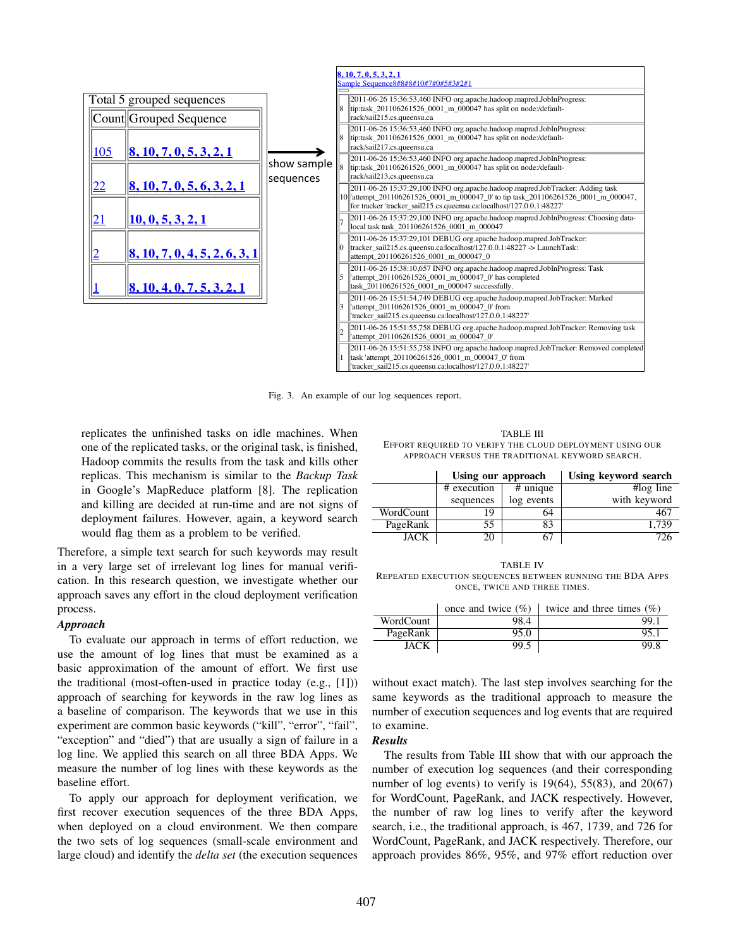

Fig. 3. An example of our log sequences report.

replicates the unfinished tasks on idle machines. When one of the replicated tasks, or the original task, is finished,  $E_{\text{F}}^{\text{B}}$ Hadoop commits the results from the task and kills other replicas. This mechanism is similar to the *Backup Task* in Google's MapReduce platform [8]. The replication and killing are decided at run-time and are not signs of deployment failures. However, again, a keyword search would flag them as a problem to be verified.

Therefore, a simple text search for such keywords may result in a very large set of irrelevant log lines for manual verification. In this research question, we investigate whether our approach saves any effort in the cloud deployment verification process.

### *Approach*

To evaluate our approach in terms of effort reduction, we use the amount of log lines that must be examined as a basic approximation of the amount of effort. We first use the traditional (most-often-used in practice today (e.g., [1])) approach of searching for keywords in the raw log lines as a baseline of comparison. The keywords that we use in this experiment are common basic keywords ("kill", "error", "fail", "exception" and "died") that are usually a sign of failure in a log line. We applied this search on all three BDA Apps. We measure the number of log lines with these keywords as the baseline effort.

To apply our approach for deployment verification, we first recover execution sequences of the three BDA Apps, when deployed on a cloud environment. We then compare the two sets of log sequences (small-scale environment and large cloud) and identify the *delta set* (the execution sequences

TABLE III EFFORT REQUIRED TO VERIFY THE CLOUD DEPLOYMENT USING OUR APPROACH VERSUS THE TRADITIONAL KEYWORD SEARCH.

|           | Using our approach |            | Using keyword search |  |
|-----------|--------------------|------------|----------------------|--|
|           | # execution        | $#$ unique | $#log$ line          |  |
|           | sequences          | log events | with keyword         |  |
| WordCount | 19                 | 64         | 467                  |  |
| PageRank  | 55                 | 83         | 1.739                |  |
| JACK      | 20                 | 67         | 726                  |  |

TABLE IV REPEATED EXECUTION SEQUENCES BETWEEN RUNNING THE BDA APPS ONCE, TWICE AND THREE TIMES.

|           | once and twice $(\%)$ | twice and three times $(\% )$ |
|-----------|-----------------------|-------------------------------|
| WordCount | 98.4                  | 99.1                          |
| PageRank  | 95.0                  | 95.1                          |
| JACK      | 99.5                  | 99.8                          |

without exact match). The last step involves searching for the same keywords as the traditional approach to measure the number of execution sequences and log events that are required to examine.

# *Results*

The results from Table III show that with our approach the number of execution log sequences (and their corresponding number of log events) to verify is  $19(64)$ , 55(83), and  $20(67)$ for WordCount, PageRank, and JACK respectively. However, the number of raw log lines to verify after the keyword search, i.e., the traditional approach, is 467, 1739, and 726 for WordCount, PageRank, and JACK respectively. Therefore, our approach provides 86%, 95%, and 97% effort reduction over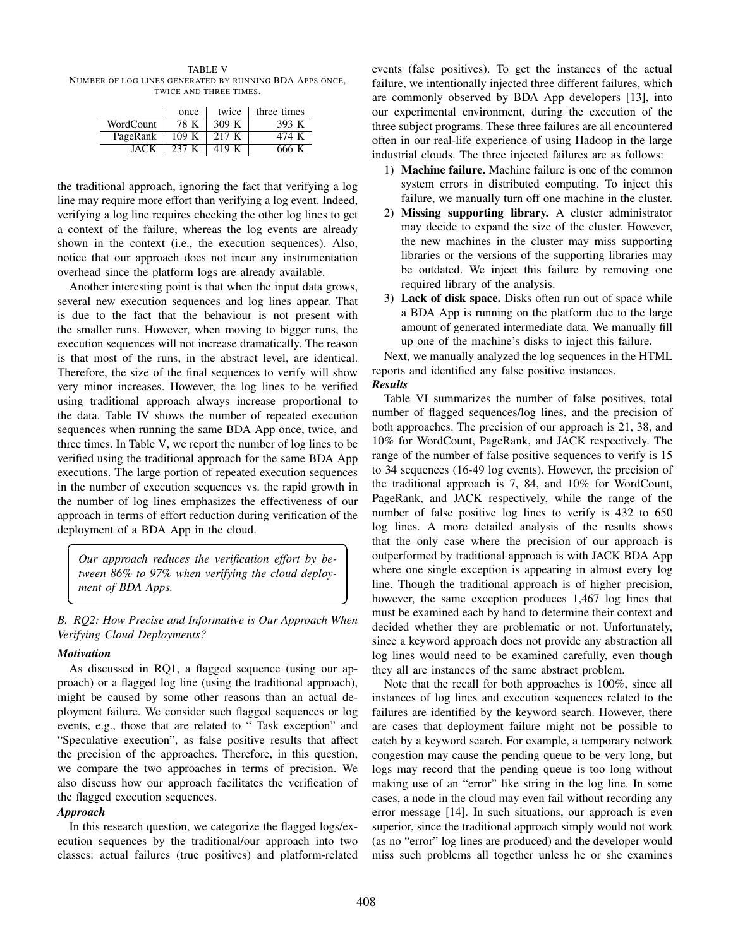TABLE V NUMBER OF LOG LINES GENERATED BY RUNNING BDA APPS ONCE, TWICE AND THREE TIMES.

|           | once  | twice | three times |
|-----------|-------|-------|-------------|
| WordCount | 78 K  | 309 K | 393 K       |
| PageRank  | 109K  | 217 K | 474 K       |
| JACK      | 237 K | 419 K | 666 K       |

the traditional approach, ignoring the fact that verifying a log line may require more effort than verifying a log event. Indeed, verifying a log line requires checking the other log lines to get a context of the failure, whereas the log events are already shown in the context (i.e., the execution sequences). Also, notice that our approach does not incur any instrumentation overhead since the platform logs are already available.

Another interesting point is that when the input data grows, several new execution sequences and log lines appear. That is due to the fact that the behaviour is not present with the smaller runs. However, when moving to bigger runs, the execution sequences will not increase dramatically. The reason is that most of the runs, in the abstract level, are identical. Therefore, the size of the final sequences to verify will show very minor increases. However, the log lines to be verified using traditional approach always increase proportional to the data. Table IV shows the number of repeated execution sequences when running the same BDA App once, twice, and three times. In Table V, we report the number of log lines to be verified using the traditional approach for the same BDA App executions. The large portion of repeated execution sequences in the number of execution sequences vs. the rapid growth in the number of log lines emphasizes the effectiveness of our approach in terms of effort reduction during verification of the deployment of a BDA App in the cloud.

*Our approach reduces the verification effort by between 86% to 97% when verifying the cloud deployment of BDA Apps.*

*B. RQ2: How Precise and Informative is Our Approach When Verifying Cloud Deployments?*

### *Motivation*

 $\overline{a}$ 

✝

As discussed in RQ1, a flagged sequence (using our approach) or a flagged log line (using the traditional approach), might be caused by some other reasons than an actual deployment failure. We consider such flagged sequences or log events, e.g., those that are related to " Task exception" and "Speculative execution", as false positive results that affect the precision of the approaches. Therefore, in this question, we compare the two approaches in terms of precision. We also discuss how our approach facilitates the verification of the flagged execution sequences.

#### *Approach*

In this research question, we categorize the flagged logs/execution sequences by the traditional/our approach into two classes: actual failures (true positives) and platform-related

events (false positives). To get the instances of the actual failure, we intentionally injected three different failures, which are commonly observed by BDA App developers [13], into our experimental environment, during the execution of the three subject programs. These three failures are all encountered often in our real-life experience of using Hadoop in the large industrial clouds. The three injected failures are as follows:

- 1) Machine failure. Machine failure is one of the common system errors in distributed computing. To inject this failure, we manually turn off one machine in the cluster.
- 2) Missing supporting library. A cluster administrator may decide to expand the size of the cluster. However, the new machines in the cluster may miss supporting libraries or the versions of the supporting libraries may be outdated. We inject this failure by removing one required library of the analysis.
- 3) Lack of disk space. Disks often run out of space while a BDA App is running on the platform due to the large amount of generated intermediate data. We manually fill up one of the machine's disks to inject this failure.

Next, we manually analyzed the log sequences in the HTML reports and identified any false positive instances.

# *Results*

☎

✆

Table VI summarizes the number of false positives, total number of flagged sequences/log lines, and the precision of both approaches. The precision of our approach is 21, 38, and 10% for WordCount, PageRank, and JACK respectively. The range of the number of false positive sequences to verify is 15 to 34 sequences (16-49 log events). However, the precision of the traditional approach is 7, 84, and 10% for WordCount, PageRank, and JACK respectively, while the range of the number of false positive log lines to verify is 432 to 650 log lines. A more detailed analysis of the results shows that the only case where the precision of our approach is outperformed by traditional approach is with JACK BDA App where one single exception is appearing in almost every log line. Though the traditional approach is of higher precision, however, the same exception produces 1,467 log lines that must be examined each by hand to determine their context and decided whether they are problematic or not. Unfortunately, since a keyword approach does not provide any abstraction all log lines would need to be examined carefully, even though they all are instances of the same abstract problem.

Note that the recall for both approaches is 100%, since all instances of log lines and execution sequences related to the failures are identified by the keyword search. However, there are cases that deployment failure might not be possible to catch by a keyword search. For example, a temporary network congestion may cause the pending queue to be very long, but logs may record that the pending queue is too long without making use of an "error" like string in the log line. In some cases, a node in the cloud may even fail without recording any error message [14]. In such situations, our approach is even superior, since the traditional approach simply would not work (as no "error" log lines are produced) and the developer would miss such problems all together unless he or she examines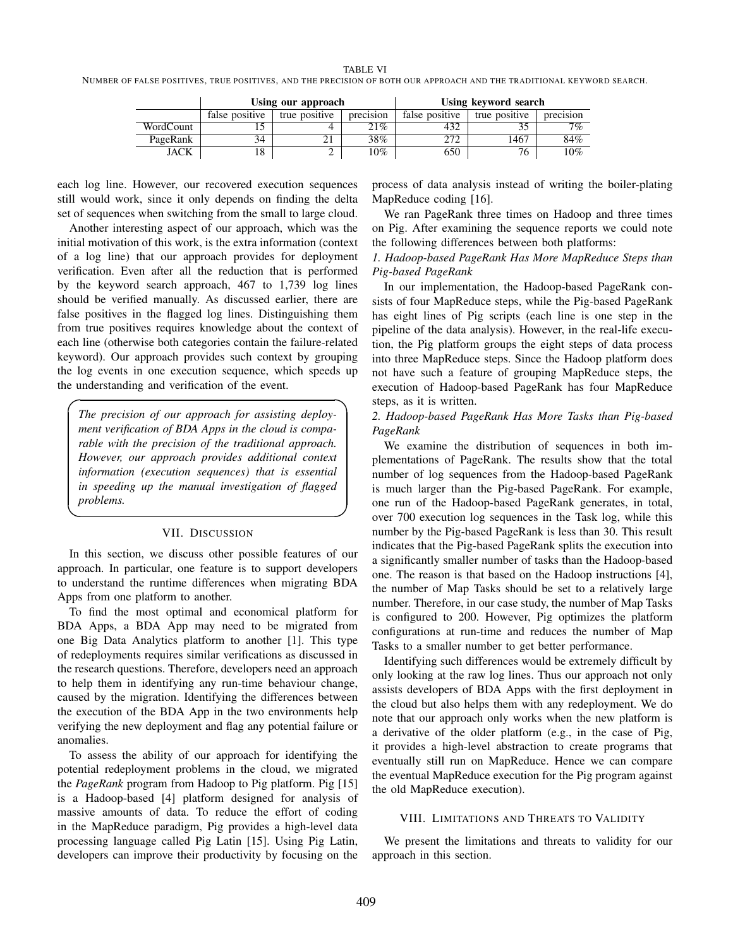TABLE VI

NUMBER OF FALSE POSITIVES, TRUE POSITIVES, AND THE PRECISION OF BOTH OUR APPROACH AND THE TRADITIONAL KEYWORD SEARCH.

|           | Using our approach |               | Using keyword search |                |               |           |
|-----------|--------------------|---------------|----------------------|----------------|---------------|-----------|
|           | false positive     | true positive | precision            | false positive | true positive | precision |
| WordCount |                    |               | 21%                  | 432            |               | 7%        |
| PageRank  | 34                 |               | 38%                  | 272            | .467          | 84%       |
| JACK      | $\Omega$<br>10.    | ∸             | 10%                  | 650            | 76            | 10%       |

each log line. However, our recovered execution sequences still would work, since it only depends on finding the delta set of sequences when switching from the small to large cloud.

Another interesting aspect of our approach, which was the initial motivation of this work, is the extra information (context of a log line) that our approach provides for deployment verification. Even after all the reduction that is performed by the keyword search approach, 467 to 1,739 log lines should be verified manually. As discussed earlier, there are false positives in the flagged log lines. Distinguishing them from true positives requires knowledge about the context of each line (otherwise both categories contain the failure-related keyword). Our approach provides such context by grouping the log events in one execution sequence, which speeds up the understanding and verification of the event.

*The precision of our approach for assisting deployment verification of BDA Apps in the cloud is comparable with the precision of the traditional approach. However, our approach provides additional context information (execution sequences) that is essential in speeding up the manual investigation of flagged problems.*

 $\overline{a}$ 

✒

# VII. DISCUSSION

In this section, we discuss other possible features of our approach. In particular, one feature is to support developers to understand the runtime differences when migrating BDA Apps from one platform to another.

To find the most optimal and economical platform for BDA Apps, a BDA App may need to be migrated from one Big Data Analytics platform to another [1]. This type of redeployments requires similar verifications as discussed in the research questions. Therefore, developers need an approach to help them in identifying any run-time behaviour change, caused by the migration. Identifying the differences between the execution of the BDA App in the two environments help verifying the new deployment and flag any potential failure or anomalies.

To assess the ability of our approach for identifying the potential redeployment problems in the cloud, we migrated the *PageRank* program from Hadoop to Pig platform. Pig [15] is a Hadoop-based [4] platform designed for analysis of massive amounts of data. To reduce the effort of coding in the MapReduce paradigm, Pig provides a high-level data processing language called Pig Latin [15]. Using Pig Latin, developers can improve their productivity by focusing on the

process of data analysis instead of writing the boiler-plating MapReduce coding [16].

We ran PageRank three times on Hadoop and three times on Pig. After examining the sequence reports we could note the following differences between both platforms:

# *1. Hadoop-based PageRank Has More MapReduce Steps than Pig-based PageRank*

In our implementation, the Hadoop-based PageRank consists of four MapReduce steps, while the Pig-based PageRank has eight lines of Pig scripts (each line is one step in the pipeline of the data analysis). However, in the real-life execution, the Pig platform groups the eight steps of data process into three MapReduce steps. Since the Hadoop platform does not have such a feature of grouping MapReduce steps, the execution of Hadoop-based PageRank has four MapReduce steps, as it is written.

# *2. Hadoop-based PageRank Has More Tasks than Pig-based PageRank*

We examine the distribution of sequences in both implementations of PageRank. The results show that the total number of log sequences from the Hadoop-based PageRank is much larger than the Pig-based PageRank. For example, one run of the Hadoop-based PageRank generates, in total, over 700 execution log sequences in the Task log, while this number by the Pig-based PageRank is less than 30. This result indicates that the Pig-based PageRank splits the execution into a significantly smaller number of tasks than the Hadoop-based one. The reason is that based on the Hadoop instructions [4], the number of Map Tasks should be set to a relatively large number. Therefore, in our case study, the number of Map Tasks is configured to 200. However, Pig optimizes the platform configurations at run-time and reduces the number of Map Tasks to a smaller number to get better performance.

Identifying such differences would be extremely difficult by only looking at the raw log lines. Thus our approach not only assists developers of BDA Apps with the first deployment in the cloud but also helps them with any redeployment. We do note that our approach only works when the new platform is a derivative of the older platform (e.g., in the case of Pig, it provides a high-level abstraction to create programs that eventually still run on MapReduce. Hence we can compare the eventual MapReduce execution for the Pig program against the old MapReduce execution).

# VIII. LIMITATIONS AND THREATS TO VALIDITY

We present the limitations and threats to validity for our approach in this section.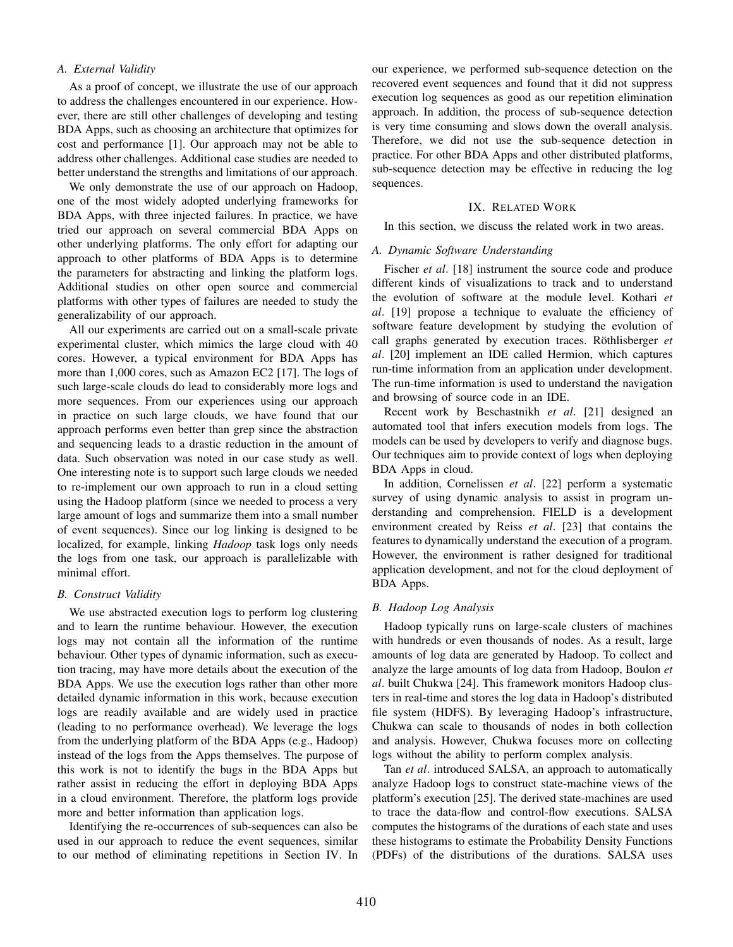## *A. External Validity*

As a proof of concept, we illustrate the use of our approach to address the challenges encountered in our experience. However, there are still other challenges of developing and testing BDA Apps, such as choosing an architecture that optimizes for cost and performance [1]. Our approach may not be able to address other challenges. Additional case studies are needed to better understand the strengths and limitations of our approach.

We only demonstrate the use of our approach on Hadoop, one of the most widely adopted underlying frameworks for BDA Apps, with three injected failures. In practice, we have tried our approach on several commercial BDA Apps on other underlying platforms. The only effort for adapting our approach to other platforms of BDA Apps is to determine the parameters for abstracting and linking the platform logs. Additional studies on other open source and commercial platforms with other types of failures are needed to study the generalizability of our approach.

All our experiments are carried out on a small-scale private experimental cluster, which mimics the large cloud with 40 cores. However, a typical environment for BDA Apps has more than 1,000 cores, such as Amazon EC2 [17]. The logs of such large-scale clouds do lead to considerably more logs and more sequences. From our experiences using our approach in practice on such large clouds, we have found that our approach performs even better than grep since the abstraction and sequencing leads to a drastic reduction in the amount of data. Such observation was noted in our case study as well. One interesting note is to support such large clouds we needed to re-implement our own approach to run in a cloud setting using the Hadoop platform (since we needed to process a very large amount of logs and summarize them into a small number of event sequences). Since our log linking is designed to be localized, for example, linking *Hadoop* task logs only needs the logs from one task, our approach is parallelizable with minimal effort.

#### *B. Construct Validity*

We use abstracted execution logs to perform log clustering and to learn the runtime behaviour. However, the execution logs may not contain all the information of the runtime behaviour. Other types of dynamic information, such as execution tracing, may have more details about the execution of the BDA Apps. We use the execution logs rather than other more detailed dynamic information in this work, because execution logs are readily available and are widely used in practice (leading to no performance overhead). We leverage the logs from the underlying platform of the BDA Apps (e.g., Hadoop) instead of the logs from the Apps themselves. The purpose of this work is not to identify the bugs in the BDA Apps but rather assist in reducing the effort in deploying BDA Apps in a cloud environment. Therefore, the platform logs provide more and better information than application logs.

Identifying the re-occurrences of sub-sequences can also be used in our approach to reduce the event sequences, similar to our method of eliminating repetitions in Section IV. In our experience, we performed sub-sequence detection on the recovered event sequences and found that it did not suppress execution log sequences as good as our repetition elimination approach. In addition, the process of sub-sequence detection is very time consuming and slows down the overall analysis. Therefore, we did not use the sub-sequence detection in practice. For other BDA Apps and other distributed platforms, sub-sequence detection may be effective in reducing the log sequences.

#### IX. RELATED WORK

In this section, we discuss the related work in two areas.

### *A. Dynamic Software Understanding*

Fischer *et al.* [18] instrument the source code and produce different kinds of visualizations to track and to understand the evolution of software at the module level. Kothari *et al*. [19] propose a technique to evaluate the efficiency of software feature development by studying the evolution of call graphs generated by execution traces. Röthlisberger *et al*. [20] implement an IDE called Hermion, which captures run-time information from an application under development. The run-time information is used to understand the navigation and browsing of source code in an IDE.

Recent work by Beschastnikh *et al*. [21] designed an automated tool that infers execution models from logs. The models can be used by developers to verify and diagnose bugs. Our techniques aim to provide context of logs when deploying BDA Apps in cloud.

In addition, Cornelissen *et al*. [22] perform a systematic survey of using dynamic analysis to assist in program understanding and comprehension. FIELD is a development environment created by Reiss *et al*. [23] that contains the features to dynamically understand the execution of a program. However, the environment is rather designed for traditional application development, and not for the cloud deployment of BDA Apps.

#### *B. Hadoop Log Analysis*

Hadoop typically runs on large-scale clusters of machines with hundreds or even thousands of nodes. As a result, large amounts of log data are generated by Hadoop. To collect and analyze the large amounts of log data from Hadoop, Boulon *et al*. built Chukwa [24]. This framework monitors Hadoop clusters in real-time and stores the log data in Hadoop's distributed file system (HDFS). By leveraging Hadoop's infrastructure, Chukwa can scale to thousands of nodes in both collection and analysis. However, Chukwa focuses more on collecting logs without the ability to perform complex analysis.

Tan *et al*. introduced SALSA, an approach to automatically analyze Hadoop logs to construct state-machine views of the platform's execution [25]. The derived state-machines are used to trace the data-flow and control-flow executions. SALSA computes the histograms of the durations of each state and uses these histograms to estimate the Probability Density Functions (PDFs) of the distributions of the durations. SALSA uses